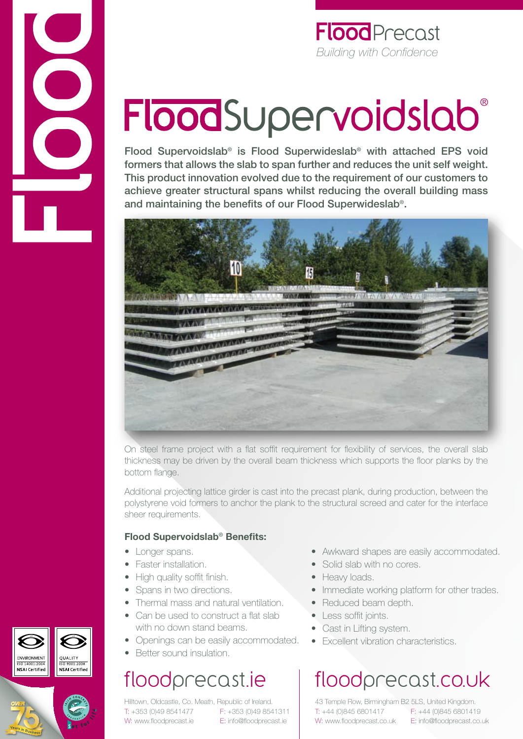**Flood** Precost *Building with Confidence*

# FloodSupervoidslab®

Flood Supervoidslab® is Flood Superwideslab® with attached EPS void formers that allows the slab to span further and reduces the unit self weight. This product innovation evolved due to the requirement of our customers to achieve greater structural spans whilst reducing the overall building mass and maintaining the benefits of our Flood Superwideslab®.



On steel frame project with a flat soffit requirement for flexibility of services, the overall slab thickness may be driven by the overall beam thickness which supports the floor planks by the bottom flange.

Additional projecting lattice girder is cast into the precast plank, during production, between the polystyrene void formers to anchor the plank to the structural screed and cater for the interface sheer requirements.

### **Flood Supervoidslab**® **Benefits:**

- Longer spans.
- Faster installation.
- High quality soffit finish.
- Spans in two directions.
- Thermal mass and natural ventilation.
- Can be used to construct a flat slab with no down stand beams.
- Openings can be easily accommodated.
- Better sound insulation.

## floodprecast.ie

Hilltown, Oldcastle, Co. Meath, Republic of Ireland. T: +353 (0)49 8541477 F: +353 (0)49 8541311 W: www.floodprecast.ie E: info@floodprecast.ie

- Awkward shapes are easily accommodated.
- Solid slab with no cores.
- Heavy loads.
- Immediate working platform for other trades.
- Reduced beam depth.
- Less soffit joints.
- Cast in Lifting system.
- Excellent vibration characteristics

# floodprecast.co.uk

43 Temple Row, Birmingham B2 5LS, United Kingdom. T: +44 (0)845 6801417 F: +44 (0)845 6801419 W: www.floodprecast.co.uk E: info@floodprecast.co.uk